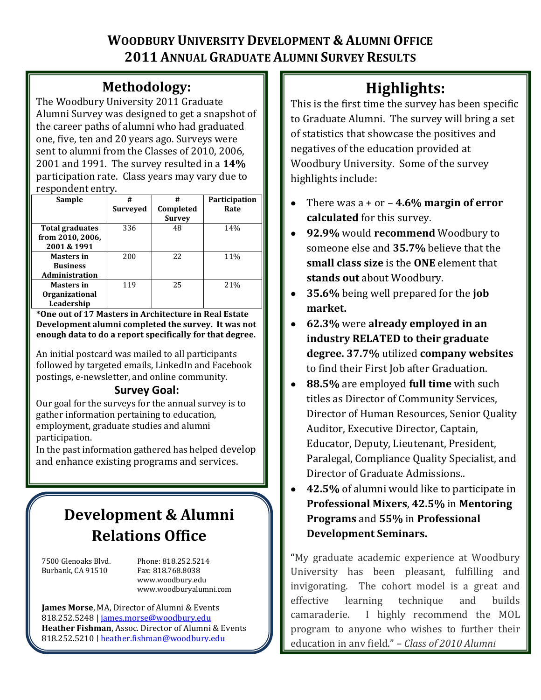# **WOODBURY UNIVERSITY DEVELOPMENT & ALUMNI OFFICE 2011 ANNUAL GRADUATE ALUMNI SURVEY RESULTS**

# **Methodology:**

The Woodbury University 2011 Graduate Alumni Survey was designed to get a snapshot of the career paths of alumni who had graduated one, five, ten and 20 years ago. Surveys were sent to alumni from the Classes of 2010, 2006, 2001 and 1991. The survey resulted in a **14%** participation rate. Class years may vary due to respondent entry.

| Sample                 | #               | #             | Participation |  |
|------------------------|-----------------|---------------|---------------|--|
|                        | <b>Surveyed</b> | Completed     | Rate          |  |
|                        |                 | <b>Survey</b> |               |  |
| <b>Total graduates</b> | 336             | 48            | 14%           |  |
| from 2010, 2006,       |                 |               |               |  |
| 2001 & 1991            |                 |               |               |  |
| <b>Masters in</b>      | 200             | 22            | 11%           |  |
| <b>Business</b>        |                 |               |               |  |
| <b>Administration</b>  |                 |               |               |  |
| <b>Masters in</b>      | 119             | 25            | 21%           |  |
| <b>Organizational</b>  |                 |               |               |  |
| Leadership             |                 |               |               |  |

**\*One out of 17 Masters in Architecture in Real Estate Development alumni completed the survey. It was not enough data to do a report specifically for that degree.**

An initial postcard was mailed to all participants followed by targeted emails, LinkedIn and Facebook postings, e-newsletter, and online community.

## **Survey Goal:**

Our goal for the surveys for the annual survey is to gather information pertaining to education, employment, graduate studies and alumni participation.

In the past information gathered has helped develop and enhance existing programs and services.

# **Development & Alumni Relations Office**

Burbank, CA 91510 Fax: 818.768.8038

7500 Glenoaks Blvd. Phone: 818.252.5214 www.woodbury.edu www.woodburyalumni.com

**James Morse**, MA, Director of Alumni & Events 818.252.5248 | [james.morse@woodbury.edu](mailto:james.morse@woodbury.edu) **Heather Fishman**, Assoc. Director of Alumni & Events 818.252.5210 | [heather.fishman@woodbury.edu](mailto:heather.fishman@woodbury.edu)

# **Highlights:**

This is the first time the survey has been specific to Graduate Alumni. The survey will bring a set of statistics that showcase the positives and negatives of the education provided at Woodbury University. Some of the survey highlights include:

- There was a + or **4.6% margin of error**   $\bullet$ **calculated** for this survey.
- **92.9%** would **recommend** Woodbury to someone else and **35.7%** believe that the **small class size** is the **ONE** element that **stands out** about Woodbury.
- **35.6%** being well prepared for the **job**   $\bullet$ **market.**
- **62.3%** were **already employed in an**  $\bullet$ **industry RELATED to their graduate degree. 37.7%** utilized **company websites** to find their First Job after Graduation.
- $\bullet$ **88.5%** are employed **full time** with such titles as Director of Community Services, Director of Human Resources, Senior Quality Auditor, Executive Director, Captain, Educator, Deputy, Lieutenant, President, Paralegal, Compliance Quality Specialist, and Director of Graduate Admissions..
- **42.5%** of alumni would like to participate in  $\bullet$ **Professional Mixers**, **42.5%** in **Mentoring Programs** and **55%** in **Professional Development Seminars.**

"My graduate academic experience at Woodbury University has been pleasant, fulfilling and invigorating. The cohort model is a great and effective learning technique and builds camaraderie. I highly recommend the MOL program to anyone who wishes to further their education in any field." – *Class of 2010 Alumni*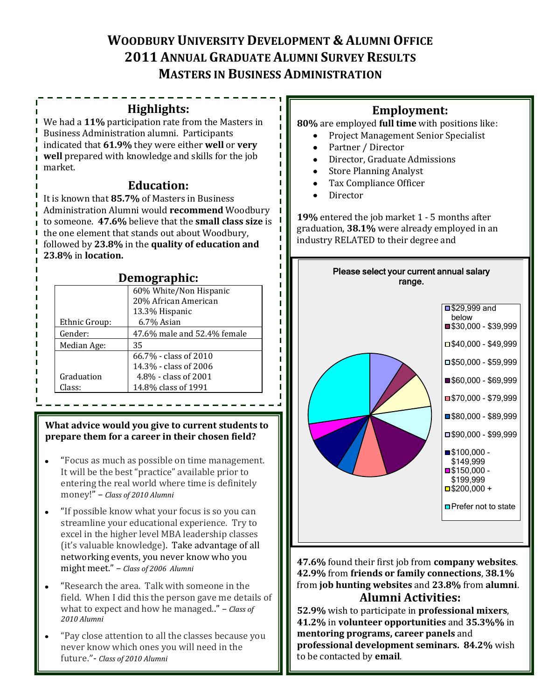# **WOODBURY UNIVERSITY DEVELOPMENT & ALUMNI OFFICE 2011 ANNUAL GRADUATE ALUMNI SURVEY RESULTS MASTERS IN BUSINESS ADMINISTRATION**

### **Highlights:**

We had a **11%** participation rate from the Masters in Business Administration alumni. Participants indicated that **61.9%** they were either **well** or **very well** prepared with knowledge and skills for the job market.

### **Education:**

It is known that **85.7%** of Masters in Business Administration Alumni would **recommend** Woodbury to someone. **47.6%** believe that the **small class size** is the one element that stands out about Woodbury, followed by **23.8%** in the **quality of education and 23.8%** in **location.**

## **Demographic:**

| $\cdots$ , $\cdots$ |                             |  |  |  |
|---------------------|-----------------------------|--|--|--|
|                     | 60% White/Non Hispanic      |  |  |  |
|                     | 20% African American        |  |  |  |
|                     | 13.3% Hispanic              |  |  |  |
| Ethnic Group:       | 6.7% Asian                  |  |  |  |
| Gender:             | 47.6% male and 52.4% female |  |  |  |
| Median Age:         | 35                          |  |  |  |
|                     | 66.7% - class of 2010       |  |  |  |
|                     | 14.3% - class of 2006       |  |  |  |
| Graduation          | 4.8% - class of 2001        |  |  |  |
| Class:              | 14.8% class of 1991         |  |  |  |
|                     |                             |  |  |  |

#### **What advice would you give to current students to prepare them for a career in their chosen field?**

- "Focus as much as possible on time management. It will be the best "practice" available prior to entering the real world where time is definitely money!" – *Class of 2010 Alumni*
- "If possible know what your focus is so you can streamline your educational experience. Try to excel in the higher level MBA leadership classes (it's valuable knowledge). Take advantage of all networking events, you never know who you might meet." – *Class of 2006 Alumni*
- "Research the area. Talk with someone in the field. When I did this the person gave me details of what to expect and how he managed.." – *Class of 2010 Alumni*
- "Pay close attention to all the classes because you never know which ones you will need in the future."- *Class of 2010 Alumni*

# **Employment:**

**80%** are employed **full time** with positions like:

- Project Management Senior Specialist
- Partner / Director  $\bullet$
- Director, Graduate Admissions  $\bullet$
- Store Planning Analyst  $\bullet$
- Tax Compliance Officer  $\bullet$
- Director

**19%** entered the job market 1 - 5 months after graduation, **38.1%** were already employed in an industry RELATED to their degree and



**47.6%** found their first job from **company websites**. **42.9%** from **friends or family connections**, **38.1%** from **job hunting websites** and **23.8%** from **alumni**. **Alumni Activities:**

**52.9%** wish to participate in **professional mixers**, **41.2%** in **volunteer opportunities** and **35.3%%** in **mentoring programs, career panels** and **professional development seminars. 84.2%** wish to be contacted by **email**.